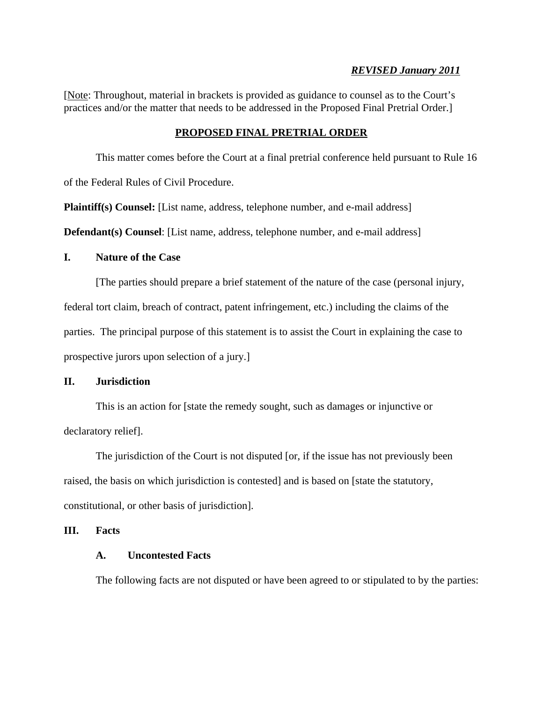### *REVISED January 2011*

[Note: Throughout, material in brackets is provided as guidance to counsel as to the Court's practices and/or the matter that needs to be addressed in the Proposed Final Pretrial Order.]

# **PROPOSED FINAL PRETRIAL ORDER**

This matter comes before the Court at a final pretrial conference held pursuant to Rule 16 of the Federal Rules of Civil Procedure.

**Plaintiff(s) Counsel:** [List name, address, telephone number, and e-mail address]

**Defendant(s) Counsel**: [List name, address, telephone number, and e-mail address]

### **I. Nature of the Case**

[The parties should prepare a brief statement of the nature of the case (personal injury,

federal tort claim, breach of contract, patent infringement, etc.) including the claims of the

parties. The principal purpose of this statement is to assist the Court in explaining the case to

prospective jurors upon selection of a jury.]

# **II. Jurisdiction**

This is an action for [state the remedy sought, such as damages or injunctive or declaratory relief].

The jurisdiction of the Court is not disputed [or, if the issue has not previously been raised, the basis on which jurisdiction is contested] and is based on [state the statutory, constitutional, or other basis of jurisdiction].

### **III. Facts**

# **A. Uncontested Facts**

The following facts are not disputed or have been agreed to or stipulated to by the parties: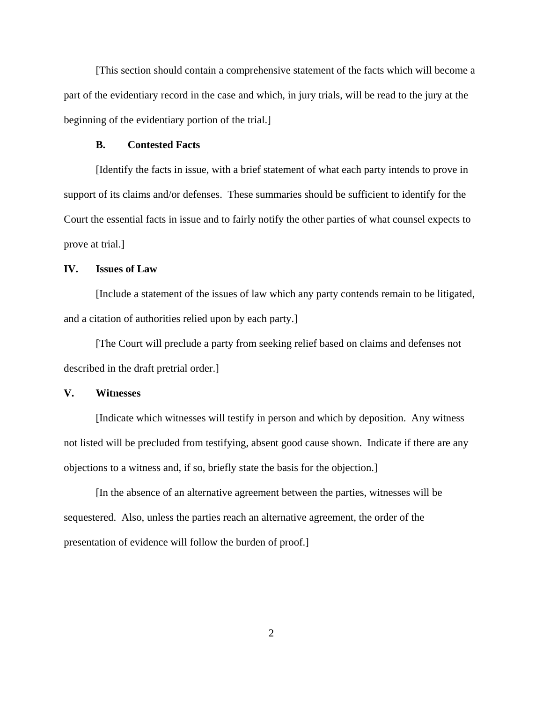[This section should contain a comprehensive statement of the facts which will become a part of the evidentiary record in the case and which, in jury trials, will be read to the jury at the beginning of the evidentiary portion of the trial.]

#### **B. Contested Facts**

[Identify the facts in issue, with a brief statement of what each party intends to prove in support of its claims and/or defenses. These summaries should be sufficient to identify for the Court the essential facts in issue and to fairly notify the other parties of what counsel expects to prove at trial.]

## **IV. Issues of Law**

[Include a statement of the issues of law which any party contends remain to be litigated, and a citation of authorities relied upon by each party.]

[The Court will preclude a party from seeking relief based on claims and defenses not described in the draft pretrial order.]

### **V. Witnesses**

[Indicate which witnesses will testify in person and which by deposition. Any witness not listed will be precluded from testifying, absent good cause shown. Indicate if there are any objections to a witness and, if so, briefly state the basis for the objection.]

[In the absence of an alternative agreement between the parties, witnesses will be sequestered. Also, unless the parties reach an alternative agreement, the order of the presentation of evidence will follow the burden of proof.]

2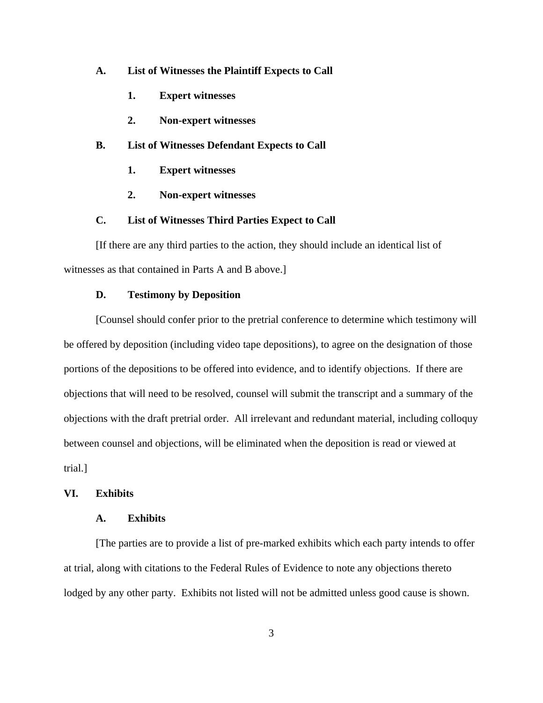#### **A. List of Witnesses the Plaintiff Expects to Call**

- **1. Expert witnesses**
- **2. Non-expert witnesses**

#### **B. List of Witnesses Defendant Expects to Call**

- **1. Expert witnesses**
- **2. Non-expert witnesses**

# **C. List of Witnesses Third Parties Expect to Call**

[If there are any third parties to the action, they should include an identical list of witnesses as that contained in Parts A and B above.]

### **D. Testimony by Deposition**

[Counsel should confer prior to the pretrial conference to determine which testimony will be offered by deposition (including video tape depositions), to agree on the designation of those portions of the depositions to be offered into evidence, and to identify objections. If there are objections that will need to be resolved, counsel will submit the transcript and a summary of the objections with the draft pretrial order. All irrelevant and redundant material, including colloquy between counsel and objections, will be eliminated when the deposition is read or viewed at trial.]

### **VI. Exhibits**

#### **A. Exhibits**

[The parties are to provide a list of pre-marked exhibits which each party intends to offer at trial, along with citations to the Federal Rules of Evidence to note any objections thereto lodged by any other party. Exhibits not listed will not be admitted unless good cause is shown.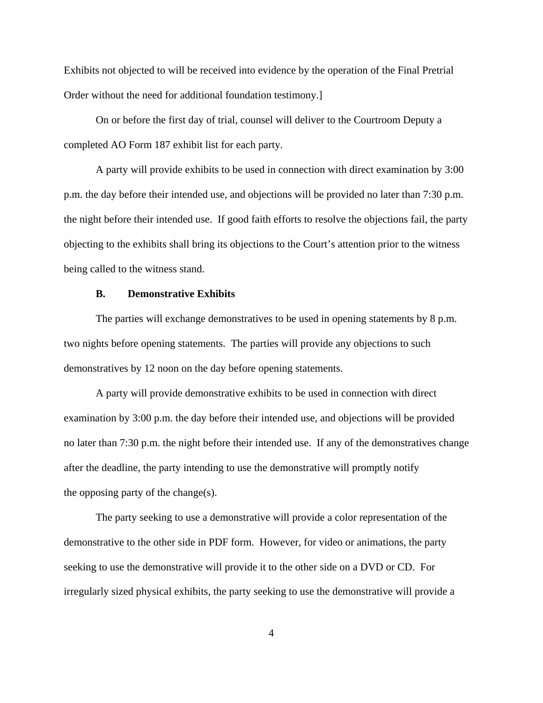Exhibits not objected to will be received into evidence by the operation of the Final Pretrial Order without the need for additional foundation testimony.]

On or before the first day of trial, counsel will deliver to the Courtroom Deputy a completed AO Form 187 exhibit list for each party.

A party will provide exhibits to be used in connection with direct examination by 3:00 p.m. the day before their intended use, and objections will be provided no later than 7:30 p.m. the night before their intended use. If good faith efforts to resolve the objections fail, the party objecting to the exhibits shall bring its objections to the Court's attention prior to the witness being called to the witness stand.

### **B. Demonstrative Exhibits**

The parties will exchange demonstratives to be used in opening statements by 8 p.m. two nights before opening statements. The parties will provide any objections to such demonstratives by 12 noon on the day before opening statements.

A party will provide demonstrative exhibits to be used in connection with direct examination by 3:00 p.m. the day before their intended use, and objections will be provided no later than 7:30 p.m. the night before their intended use. If any of the demonstratives change after the deadline, the party intending to use the demonstrative will promptly notify the opposing party of the change(s).

The party seeking to use a demonstrative will provide a color representation of the demonstrative to the other side in PDF form. However, for video or animations, the party seeking to use the demonstrative will provide it to the other side on a DVD or CD. For irregularly sized physical exhibits, the party seeking to use the demonstrative will provide a

4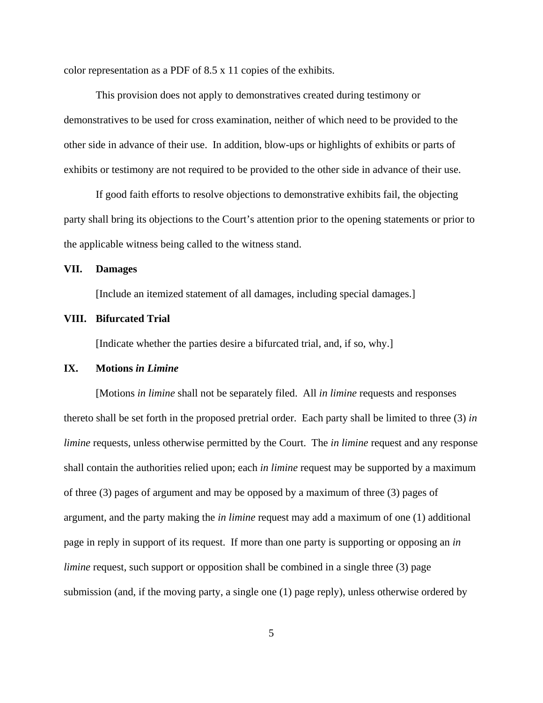color representation as a PDF of 8.5 x 11 copies of the exhibits.

This provision does not apply to demonstratives created during testimony or demonstratives to be used for cross examination, neither of which need to be provided to the other side in advance of their use. In addition, blow-ups or highlights of exhibits or parts of exhibits or testimony are not required to be provided to the other side in advance of their use.

If good faith efforts to resolve objections to demonstrative exhibits fail, the objecting party shall bring its objections to the Court's attention prior to the opening statements or prior to the applicable witness being called to the witness stand.

#### **VII. Damages**

[Include an itemized statement of all damages, including special damages.]

#### **VIII. Bifurcated Trial**

[Indicate whether the parties desire a bifurcated trial, and, if so, why.]

### **IX. Motions** *in Limine*

[Motions *in limine* shall not be separately filed. All *in limine* requests and responses thereto shall be set forth in the proposed pretrial order. Each party shall be limited to three (3) *in limine* requests, unless otherwise permitted by the Court. The *in limine* request and any response shall contain the authorities relied upon; each *in limine* request may be supported by a maximum of three (3) pages of argument and may be opposed by a maximum of three (3) pages of argument, and the party making the *in limine* request may add a maximum of one (1) additional page in reply in support of its request. If more than one party is supporting or opposing an *in limine* request, such support or opposition shall be combined in a single three (3) page submission (and, if the moving party, a single one (1) page reply), unless otherwise ordered by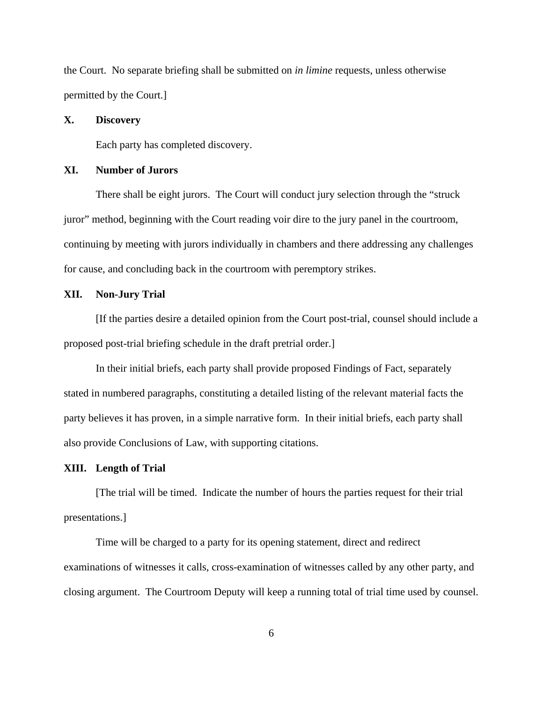the Court. No separate briefing shall be submitted on *in limine* requests, unless otherwise permitted by the Court.]

#### **X. Discovery**

Each party has completed discovery.

#### **XI. Number of Jurors**

There shall be eight jurors. The Court will conduct jury selection through the "struck juror" method, beginning with the Court reading voir dire to the jury panel in the courtroom, continuing by meeting with jurors individually in chambers and there addressing any challenges for cause, and concluding back in the courtroom with peremptory strikes.

#### **XII. Non-Jury Trial**

[If the parties desire a detailed opinion from the Court post-trial, counsel should include a proposed post-trial briefing schedule in the draft pretrial order.]

In their initial briefs, each party shall provide proposed Findings of Fact, separately stated in numbered paragraphs, constituting a detailed listing of the relevant material facts the party believes it has proven, in a simple narrative form. In their initial briefs, each party shall also provide Conclusions of Law, with supporting citations.

#### **XIII. Length of Trial**

[The trial will be timed. Indicate the number of hours the parties request for their trial presentations.]

Time will be charged to a party for its opening statement, direct and redirect examinations of witnesses it calls, cross-examination of witnesses called by any other party, and closing argument. The Courtroom Deputy will keep a running total of trial time used by counsel.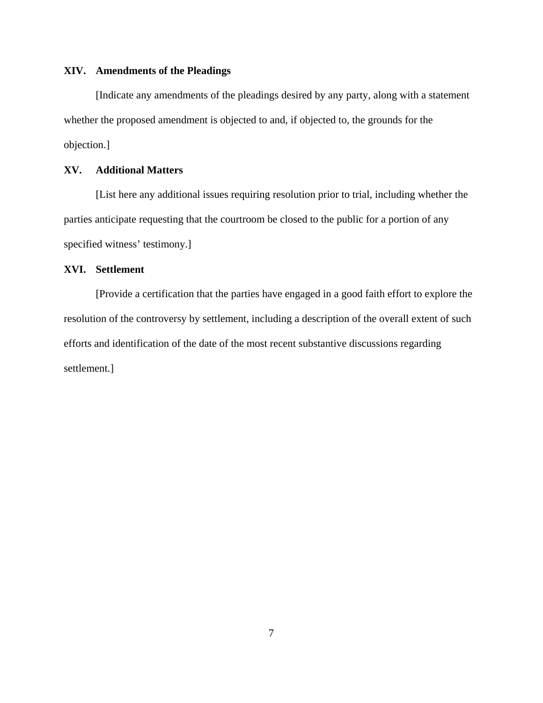### **XIV. Amendments of the Pleadings**

[Indicate any amendments of the pleadings desired by any party, along with a statement whether the proposed amendment is objected to and, if objected to, the grounds for the objection.]

# **XV. Additional Matters**

[List here any additional issues requiring resolution prior to trial, including whether the parties anticipate requesting that the courtroom be closed to the public for a portion of any specified witness' testimony.]

## **XVI. Settlement**

[Provide a certification that the parties have engaged in a good faith effort to explore the resolution of the controversy by settlement, including a description of the overall extent of such efforts and identification of the date of the most recent substantive discussions regarding settlement.]